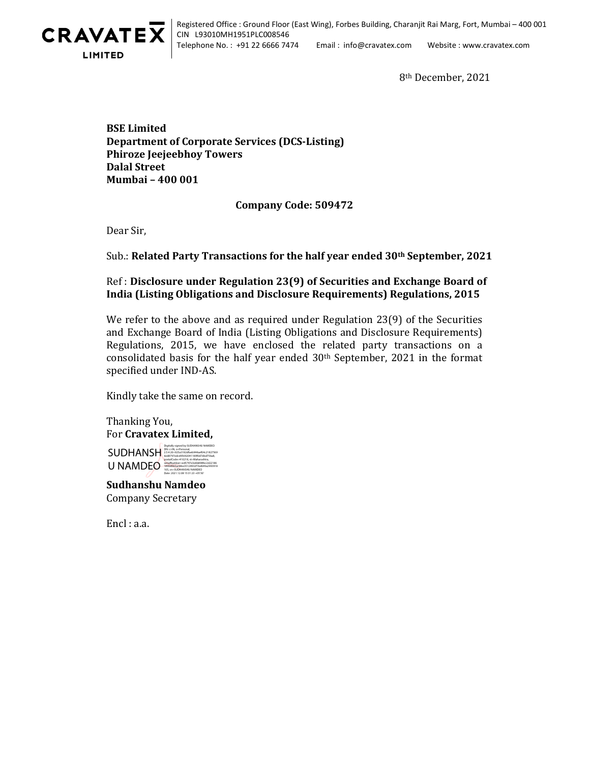

Registered Office : Ground Floor (East Wing), Forbes Building, Charanjit Rai Marg, Fort, Mumbai – 400 001 CIN L93010MH1951PLC008546 Telephone No. : +91 22 6666 7474 Email : info@cravatex.com Website : www.cravatex.com

8th December, 2021

BSE Limited Department of Corporate Services (DCS-Listing) Phiroze Jeejeebhoy Towers Dalal Street Mumbai – 400 001

## Company Code: 509472

Dear Sir,

## Sub.: Related Party Transactions for the half year ended 30<sup>th</sup> September, 2021

## Ref : Disclosure under Regulation 23(9) of Securities and Exchange Board of India (Listing Obligations and Disclosure Requirements) Regulations, 2015

We refer to the above and as required under Regulation 23(9) of the Securities and Exchange Board of India (Listing Obligations and Disclosure Requirements) Regulations, 2015, we have enclosed the related party transactions on a consolidated basis for the half year ended 30<sup>th</sup> September, 2021 in the format specified under IND-AS.

Kindly take the same on record.

DN: c=IN, o=Personal, 2.5.4.20=925a3182dfaeb944aef04c21827569 6ed8797edcd95692041189f0d7dbd75ba8, postalCode=410218, st=Maharashtra, serialNumber=ed5747e3e6b898fec2d22186

 Thanking You, For Cravatex Limited, Digitally signed by SUDHANSHU NAMDEO

**SUDHANSH** U NAMDEO

Sudhanshu Namdeo Company Secretary 1890d0b5acbfee35124932f1bd649a2993918 105, cn=SUDHANSHU NAMDEO Date: 2021.12.08 15:31:23 +05'30'

Encl : a.a.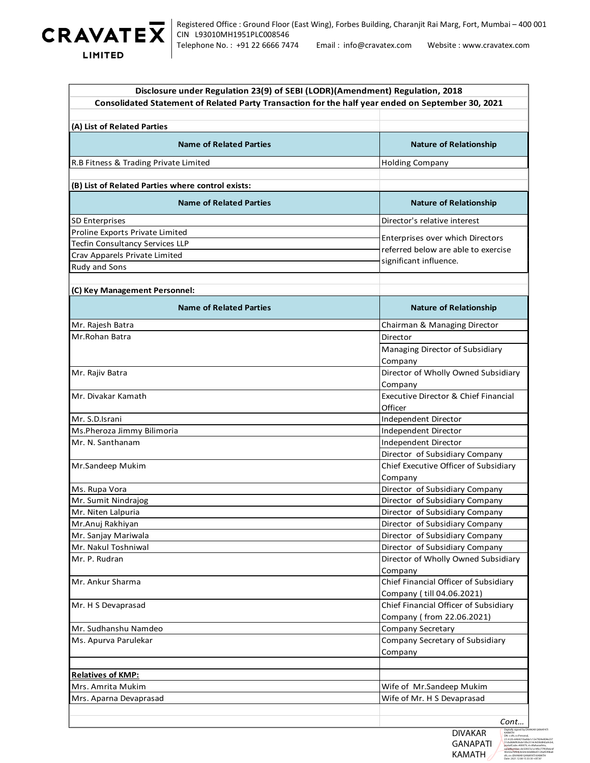

| Registered Office : Ground Floor (East Wing), Forbes Building, Charanjit Rai Marg, Fort, Mumbai - 400 001<br>RAVATEX<br>CIN L93010MH1951PLC008546<br>Telephone No.: +91 22 6666 7474<br>Email: info@cravatex.com<br>Website: www.cravatex.com<br>LIMITED |                                                                         |  |
|----------------------------------------------------------------------------------------------------------------------------------------------------------------------------------------------------------------------------------------------------------|-------------------------------------------------------------------------|--|
| Disclosure under Regulation 23(9) of SEBI (LODR)(Amendment) Regulation, 2018<br>Consolidated Statement of Related Party Transaction for the half year ended on September 30, 2021                                                                        |                                                                         |  |
| (A) List of Related Parties                                                                                                                                                                                                                              |                                                                         |  |
| <b>Name of Related Parties</b>                                                                                                                                                                                                                           | <b>Nature of Relationship</b>                                           |  |
| R.B Fitness & Trading Private Limited                                                                                                                                                                                                                    | <b>Holding Company</b>                                                  |  |
| (B) List of Related Parties where control exists:                                                                                                                                                                                                        |                                                                         |  |
| <b>Name of Related Parties</b>                                                                                                                                                                                                                           | <b>Nature of Relationship</b>                                           |  |
| <b>SD Enterprises</b>                                                                                                                                                                                                                                    | Director's relative interest                                            |  |
| Proline Exports Private Limited                                                                                                                                                                                                                          |                                                                         |  |
| <b>Tecfin Consultancy Services LLP</b>                                                                                                                                                                                                                   | Enterprises over which Directors<br>referred below are able to exercise |  |
| Crav Apparels Private Limited                                                                                                                                                                                                                            | significant influence.                                                  |  |
| Rudy and Sons                                                                                                                                                                                                                                            |                                                                         |  |
| (C) Key Management Personnel:                                                                                                                                                                                                                            |                                                                         |  |
| <b>Name of Related Parties</b>                                                                                                                                                                                                                           | <b>Nature of Relationship</b>                                           |  |
| Mr. Rajesh Batra                                                                                                                                                                                                                                         | Chairman & Managing Director                                            |  |
| Mr.Rohan Batra                                                                                                                                                                                                                                           | Director                                                                |  |
|                                                                                                                                                                                                                                                          | Managing Director of Subsidiary<br>Company                              |  |
| Mr. Rajiv Batra                                                                                                                                                                                                                                          | Director of Wholly Owned Subsidiary                                     |  |
|                                                                                                                                                                                                                                                          | Company                                                                 |  |
| Mr. Divakar Kamath                                                                                                                                                                                                                                       | Executive Director & Chief Financial                                    |  |
|                                                                                                                                                                                                                                                          | Officer                                                                 |  |
| Mr. S.D.Israni                                                                                                                                                                                                                                           | Independent Director                                                    |  |
| Ms.Pheroza Jimmy Bilimoria                                                                                                                                                                                                                               | Independent Director                                                    |  |
| Mr. N. Santhanam                                                                                                                                                                                                                                         | Independent Director<br>Director of Subsidiary Company                  |  |
| Mr.Sandeep Mukim                                                                                                                                                                                                                                         | Chief Executive Officer of Subsidiary                                   |  |
|                                                                                                                                                                                                                                                          | Company                                                                 |  |
| Ms. Rupa Vora                                                                                                                                                                                                                                            | Director of Subsidiary Company                                          |  |
| Mr. Sumit Nindrajog                                                                                                                                                                                                                                      | Director of Subsidiary Company                                          |  |
| Mr. Niten Lalpuria                                                                                                                                                                                                                                       | Director of Subsidiary Company                                          |  |
| Mr.Anuj Rakhiyan                                                                                                                                                                                                                                         | Director of Subsidiary Company                                          |  |
| Mr. Sanjay Mariwala                                                                                                                                                                                                                                      | Director of Subsidiary Company                                          |  |
| Mr. Nakul Toshniwal<br>Mr. P. Rudran                                                                                                                                                                                                                     | Director of Subsidiary Company<br>Director of Wholly Owned Subsidiary   |  |
|                                                                                                                                                                                                                                                          | Company                                                                 |  |
| Mr. Ankur Sharma                                                                                                                                                                                                                                         | Chief Financial Officer of Subsidiary                                   |  |
|                                                                                                                                                                                                                                                          | Company (till 04.06.2021)                                               |  |
| Mr. H S Devaprasad                                                                                                                                                                                                                                       | Chief Financial Officer of Subsidiary<br>Company (from 22.06.2021)      |  |
| Mr. Sudhanshu Namdeo                                                                                                                                                                                                                                     | Company Secretary                                                       |  |
| Ms. Apurva Parulekar                                                                                                                                                                                                                                     | Company Secretary of Subsidiary                                         |  |
|                                                                                                                                                                                                                                                          | Company                                                                 |  |
| <b>Relatives of KMP:</b>                                                                                                                                                                                                                                 |                                                                         |  |
|                                                                                                                                                                                                                                                          |                                                                         |  |
| Mrs. Amrita Mukim                                                                                                                                                                                                                                        | Wife of Mr.Sandeep Mukim                                                |  |

2.5.4.20=6464210adda1c12e7924e804e237 51cbd686f636de10fe2314c9d38d842a9cb4, postalCode=400079, st=Maharashtra, serialNumber=8c50937a1a19fec77f43fe6c6f 40c02a7bfb9c8cb4cb0e88bd5124a45496a8 d9, cn=DIVAKAR GANAPATI KAMATH Date: 2021.12.08 15:33:30 +05'30'